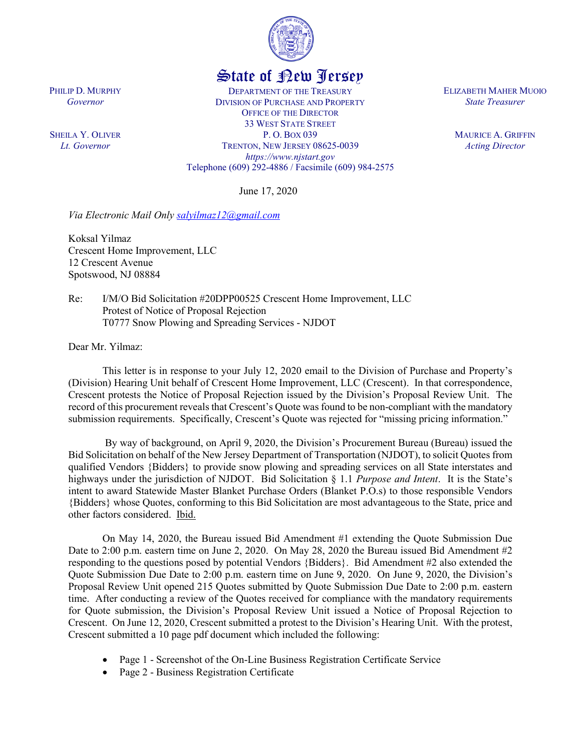

## State of New Jersey

DEPARTMENT OF THE TREASURY DIVISION OF PURCHASE AND PROPERTY OFFICE OF THE DIRECTOR 33 WEST STATE STREET P. O. BOX 039 TRENTON, NEW JERSEY 08625-0039 *https://www.njstart.gov* Telephone (609) 292-4886 / Facsimile (609) 984-2575

June 17, 2020

*Via Electronic Mail Only [salyilmaz12@gmail.com](mailto:salyilmaz12@gmail.com)*

Koksal Yilmaz Crescent Home Improvement, LLC 12 Crescent Avenue Spotswood, NJ 08884

Re: I/M/O Bid Solicitation #20DPP00525 Crescent Home Improvement, LLC Protest of Notice of Proposal Rejection T0777 Snow Plowing and Spreading Services - NJDOT

Dear Mr. Yilmaz:

PHILIP D. MURPHY *Governor*

SHEILA Y. OLIVER *Lt. Governor*

> This letter is in response to your July 12, 2020 email to the Division of Purchase and Property's (Division) Hearing Unit behalf of Crescent Home Improvement, LLC (Crescent). In that correspondence, Crescent protests the Notice of Proposal Rejection issued by the Division's Proposal Review Unit. The record of this procurement reveals that Crescent's Quote was found to be non-compliant with the mandatory submission requirements. Specifically, Crescent's Quote was rejected for "missing pricing information."

> By way of background, on April 9, 2020, the Division's Procurement Bureau (Bureau) issued the Bid Solicitation on behalf of the New Jersey Department of Transportation (NJDOT), to solicit Quotesfrom qualified Vendors {Bidders} to provide snow plowing and spreading services on all State interstates and highways under the jurisdiction of NJDOT. Bid Solicitation § 1.1 *Purpose and Intent*. It is the State's intent to award Statewide Master Blanket Purchase Orders (Blanket P.O.s) to those responsible Vendors {Bidders} whose Quotes, conforming to this Bid Solicitation are most advantageous to the State, price and other factors considered. Ibid.

> On May 14, 2020, the Bureau issued Bid Amendment #1 extending the Quote Submission Due Date to 2:00 p.m. eastern time on June 2, 2020. On May 28, 2020 the Bureau issued Bid Amendment #2 responding to the questions posed by potential Vendors {Bidders}. Bid Amendment #2 also extended the Quote Submission Due Date to 2:00 p.m. eastern time on June 9, 2020. On June 9, 2020, the Division's Proposal Review Unit opened 215 Quotes submitted by Quote Submission Due Date to 2:00 p.m. eastern time. After conducting a review of the Quotes received for compliance with the mandatory requirements for Quote submission, the Division's Proposal Review Unit issued a Notice of Proposal Rejection to Crescent. On June 12, 2020, Crescent submitted a protest to the Division's Hearing Unit. With the protest, Crescent submitted a 10 page pdf document which included the following:

- Page 1 Screenshot of the On-Line Business Registration Certificate Service
- Page 2 Business Registration Certificate

ELIZABETH MAHER MUOIO *State Treasurer*

> MAURICE A. GRIFFIN *Acting Director*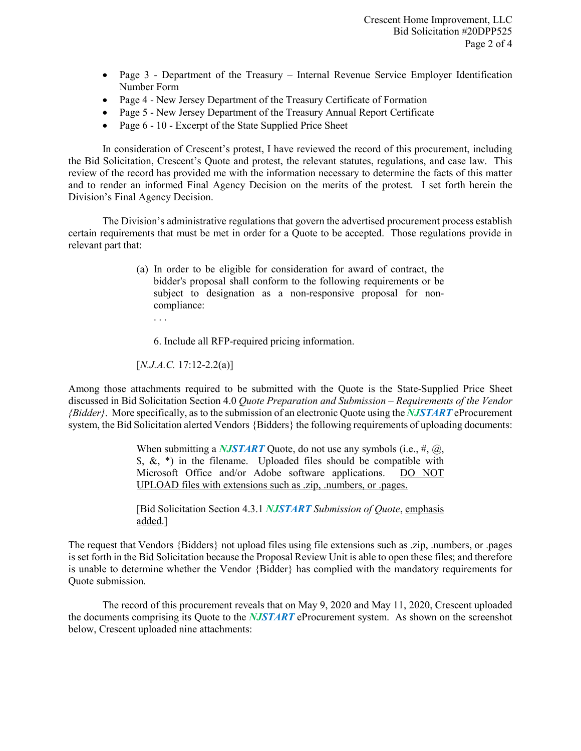- Page 3 Department of the Treasury Internal Revenue Service Employer Identification Number Form
- Page 4 New Jersey Department of the Treasury Certificate of Formation
- Page 5 New Jersey Department of the Treasury Annual Report Certificate
- Page 6 10 Excerpt of the State Supplied Price Sheet

In consideration of Crescent's protest, I have reviewed the record of this procurement, including the Bid Solicitation, Crescent's Quote and protest, the relevant statutes, regulations, and case law. This review of the record has provided me with the information necessary to determine the facts of this matter and to render an informed Final Agency Decision on the merits of the protest. I set forth herein the Division's Final Agency Decision.

The Division's administrative regulations that govern the advertised procurement process establish certain requirements that must be met in order for a Quote to be accepted. Those regulations provide in relevant part that:

- (a) In order to be eligible for consideration for award of contract, the bidder's proposal shall conform to the following requirements or be subject to designation as a non-responsive proposal for noncompliance:
	- 6. Include all RFP-required pricing information.

[*N.J.A.C.* 17:12-2.2(a)]

. . .

Among those attachments required to be submitted with the Quote is the State-Supplied Price Sheet discussed in Bid Solicitation Section 4.0 *Quote Preparation and Submission – Requirements of the Vendor {Bidder}*. More specifically, as to the submission of an electronic Quote using the *NJSTART* eProcurement system, the Bid Solicitation alerted Vendors {Bidders} the following requirements of uploading documents:

> When submitting a *NJSTART* Quote, do not use any symbols (i.e., #, @, \$, &, \*) in the filename. Uploaded files should be compatible with Microsoft Office and/or Adobe software applications. DO NOT UPLOAD files with extensions such as .zip, .numbers, or .pages.

> [Bid Solicitation Section 4.3.1 *NJSTART Submission of Quote*, emphasis added.]

The request that Vendors {Bidders} not upload files using file extensions such as .zip, .numbers, or .pages is set forth in the Bid Solicitation because the Proposal Review Unit is able to open these files; and therefore is unable to determine whether the Vendor {Bidder} has complied with the mandatory requirements for Quote submission.

The record of this procurement reveals that on May 9, 2020 and May 11, 2020, Crescent uploaded the documents comprising its Quote to the *NJSTART* eProcurement system. As shown on the screenshot below, Crescent uploaded nine attachments: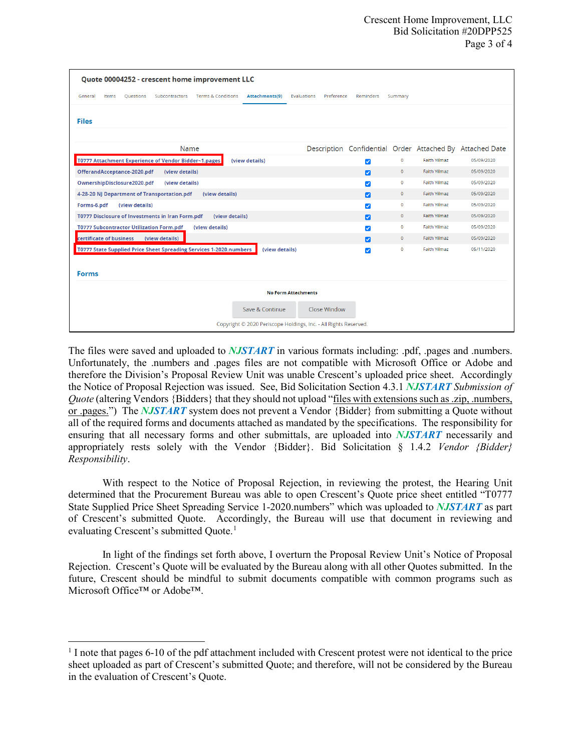| Quote 00004252 - crescent home improvement LLC                                                                           |                                                          |              |                     |            |
|--------------------------------------------------------------------------------------------------------------------------|----------------------------------------------------------|--------------|---------------------|------------|
| <b>Terms &amp; Conditions</b><br>Attachments(9)<br>General<br>Items<br><b>Questions</b><br>Subcontractors<br>Evaluations | Preference<br>Reminders                                  | Summary      |                     |            |
| <b>Files</b>                                                                                                             |                                                          |              |                     |            |
| Name                                                                                                                     | Description Confidential Order Attached By Attached Date |              |                     |            |
| T0777 Attachment Experience of Vendor Bidder~1.pages<br>(view details)                                                   | $\checkmark$                                             | $\mathbf 0$  | <b>Faith Yilmaz</b> | 05/09/2020 |
| OfferandAcceptance-2020.pdf<br>(view details)                                                                            | Ø                                                        | $\mathbf{0}$ | <b>Faith Yilmaz</b> | 05/09/2020 |
| OwnershipDisclosure2020.pdf<br>(view details)                                                                            | $\blacktriangledown$                                     | $\bullet$    | <b>Faith Yilmaz</b> | 05/09/2020 |
| 4-28-20 NJ Department of Transportation.pdf<br>(view details)                                                            | Ø                                                        | $\mathbf{O}$ | <b>Faith Yilmaz</b> | 05/09/2020 |
| (view details)<br>Forms-6.pdf                                                                                            | $\overline{\mathbf{v}}$                                  | $\circ$      | <b>Faith Yilmaz</b> | 05/09/2020 |
| T0777 Disclosure of Investments in Iran Form.pdf<br>(view details)                                                       | Z                                                        | $\mathbf{0}$ | <b>Faith Yilmaz</b> | 05/09/2020 |
| <b>T0777 Subcontractor Utilization Form.pdf</b><br>(view details)                                                        | $\blacktriangledown$                                     | $\mathbf 0$  | <b>Faith Yilmaz</b> | 05/09/2020 |
| certificate of business<br>(view details)                                                                                | Ø                                                        | $\mathbf{0}$ | Faith Yilmaz        | 05/09/2020 |
| T0777 State Supplied Price Sheet Spreading Services 1-2020.numbers<br>(view details)                                     | $\checkmark$                                             | $\circ$      | <b>Faith Yilmaz</b> | 05/11/2020 |
| <b>Forms</b>                                                                                                             |                                                          |              |                     |            |
| <b>No Form Attachments</b>                                                                                               |                                                          |              |                     |            |
| Save & Continue<br>Close Window                                                                                          |                                                          |              |                     |            |
| Copyright © 2020 Periscope Holdings, Inc. - All Rights Reserved.                                                         |                                                          |              |                     |            |

The files were saved and uploaded to *NJSTART* in various formats including: .pdf, .pages and .numbers. Unfortunately, the .numbers and .pages files are not compatible with Microsoft Office or Adobe and therefore the Division's Proposal Review Unit was unable Crescent's uploaded price sheet. Accordingly the Notice of Proposal Rejection was issued. See, Bid Solicitation Section 4.3.1 *NJSTART Submission of Quote* (altering Vendors {Bidders} that they should not upload "files with extensions such as .zip, .numbers, or .pages.") The *NJSTART* system does not prevent a Vendor {Bidder} from submitting a Quote without all of the required forms and documents attached as mandated by the specifications. The responsibility for ensuring that all necessary forms and other submittals, are uploaded into *NJSTART* necessarily and appropriately rests solely with the Vendor {Bidder}. Bid Solicitation § 1.4.2 *Vendor {Bidder} Responsibility*.

With respect to the Notice of Proposal Rejection, in reviewing the protest, the Hearing Unit determined that the Procurement Bureau was able to open Crescent's Quote price sheet entitled "T0777 State Supplied Price Sheet Spreading Service 1-2020.numbers" which was uploaded to *NJSTART* as part of Crescent's submitted Quote. Accordingly, the Bureau will use that document in reviewing and evaluating Crescent's submitted Quote.<sup>[1](#page-2-0)</sup>

In light of the findings set forth above, I overturn the Proposal Review Unit's Notice of Proposal Rejection. Crescent's Quote will be evaluated by the Bureau along with all other Quotes submitted. In the future, Crescent should be mindful to submit documents compatible with common programs such as Microsoft Office™ or Adobe™.

 $\overline{\phantom{a}}$ 

<span id="page-2-0"></span><sup>&</sup>lt;sup>1</sup> I note that pages 6-10 of the pdf attachment included with Crescent protest were not identical to the price sheet uploaded as part of Crescent's submitted Quote; and therefore, will not be considered by the Bureau in the evaluation of Crescent's Quote.